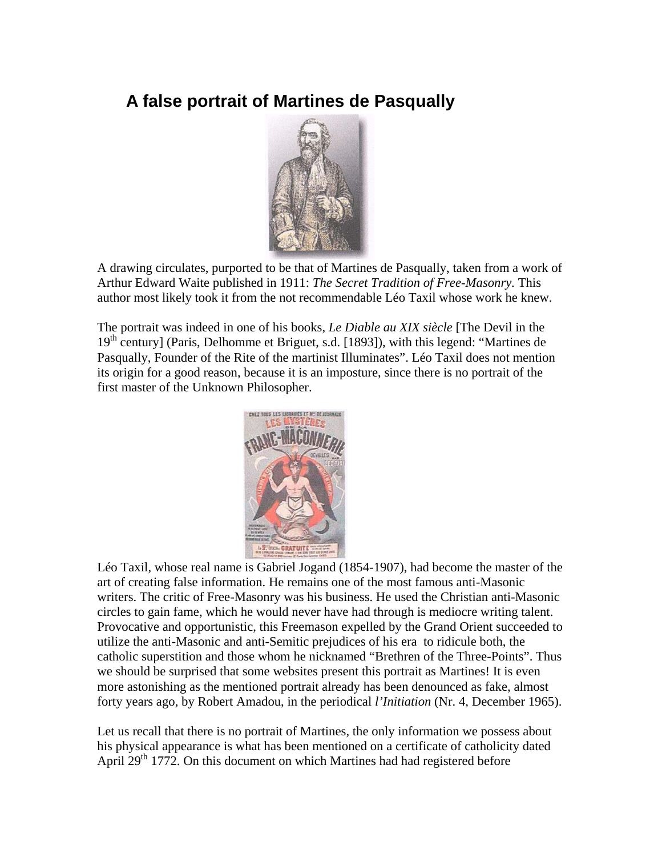# **A false portrait of Martines de Pasqually**



A drawing circulates, purported to be that of Martines de Pasqually, taken from a work of Arthur Edward Waite published in 1911: *The Secret Tradition of Free-Masonry.* This author most likely took it from the not recommendable Léo Taxil whose work he knew.

The portrait was indeed in one of his books, *Le Diable au XIX siècle* [The Devil in the  $19<sup>th</sup>$  century] (Paris, Delhomme et Briguet, s.d. [1893]), with this legend: "Martines de Pasqually, Founder of the Rite of the martinist Illuminates". Léo Taxil does not mention its origin for a good reason, because it is an imposture, since there is no portrait of the first master of the Unknown Philosopher.



Léo Taxil, whose real name is Gabriel Jogand (1854-1907), had become the master of the art of creating false information. He remains one of the most famous anti-Masonic writers. The critic of Free-Masonry was his business. He used the Christian anti-Masonic circles to gain fame, which he would never have had through is mediocre writing talent. Provocative and opportunistic, this Freemason expelled by the Grand Orient succeeded to utilize the anti-Masonic and anti-Semitic prejudices of his era to ridicule both, the catholic superstition and those whom he nicknamed "Brethren of the Three-Points". Thus we should be surprised that some websites present this portrait as Martines! It is even more astonishing as the mentioned portrait already has been denounced as fake, almost forty years ago, by Robert Amadou, in the periodical *l'Initiation* (Nr. 4, December 1965).

Let us recall that there is no portrait of Martines, the only information we possess about his physical appearance is what has been mentioned on a certificate of catholicity dated April  $29<sup>th</sup>$  1772. On this document on which Martines had had registered before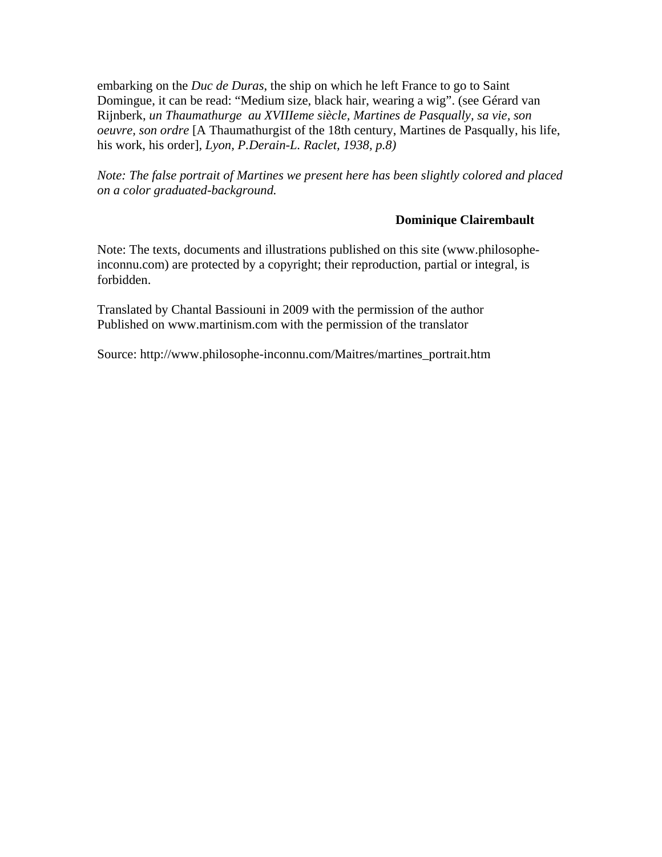embarking on the *Duc de Duras*, the ship on which he left France to go to Saint Domingue, it can be read: "Medium size, black hair, wearing a wig". (see Gérard van Rijnberk, *un Thaumathurge au XVIIIeme siècle, Martines de Pasqually, sa vie, son oeuvre, son ordre* [A Thaumathurgist of the 18th century, Martines de Pasqually, his life, his work, his order]*, Lyon, P.Derain-L. Raclet, 1938, p.8)* 

*Note: The false portrait of Martines we present here has been slightly colored and placed on a color graduated-background.* 

#### **Dominique Clairembault**

Note: The texts, documents and illustrations published on this site (www.philosopheinconnu.com) are protected by a copyright; their reproduction, partial or integral, is forbidden.

Translated by Chantal Bassiouni in 2009 with the permission of the author Published on www.martinism.com with the permission of the translator

Source: http://www.philosophe-inconnu.com/Maitres/martines\_portrait.htm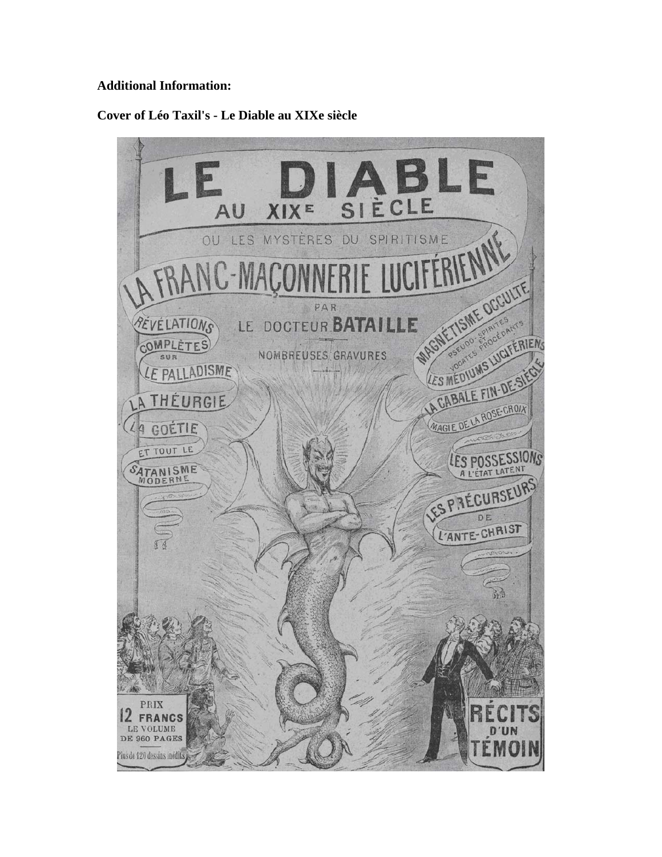## **Additional Information:**

## **Cover of Léo Taxil's - Le Diable au XIXe siècle**